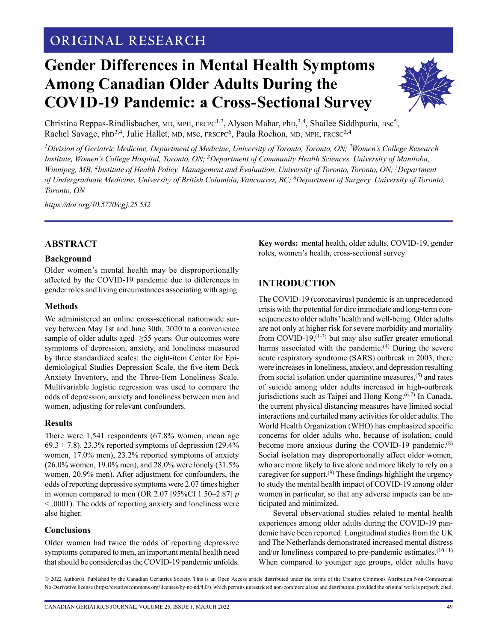## **ORIGINAL RESEARCH**

# **Gender Differences in Mental Health Symptoms Among Canadian Older Adults During the COVID-19 Pandemic: a Cross-Sectional Survey**



Christina Reppas-Rindlisbacher, MD, MPH, FRCPC<sup>1,2</sup>, Alyson Mahar, PhD,<sup>3,4</sup>, Shailee Siddhpuria, Bsc<sup>5</sup>, Rachel Savage, PhD<sup>2,4</sup>, Julie Hallet, MD, MSc, FRSCPC<sup>6</sup>, Paula Rochon, MD, MPH, FRCSC<sup>2,4</sup>

*1 Division of Geriatric Medicine, Department of Medicine, University of Toronto, Toronto, ON; 2Women's College Research Institute, Women's College Hospital, Toronto, ON; 3Department of Community Health Sciences, University of Manitoba, Winnipeg, MB; 4Institute of Health Policy, Management and Evaluation, University of Toronto, Toronto, ON; 5Department of Undergraduate Medicine, University of British Columbia, Vancouver, BC; 6Department of Surgery, University of Toronto, Toronto, ON*

*<https://doi.org/10.5770/cgj.25.532>*

## **ABSTRACT**

## **Background**

Older women's mental health may be disproportionally affected by the COVID-19 pandemic due to differences in gender roles and living circumstances associating with aging.

#### **Methods**

We administered an online cross-sectional nationwide survey between May 1st and June 30th, 2020 to a convenience sample of older adults aged ≥55 years. Our outcomes were symptoms of depression, anxiety, and loneliness measured by three standardized scales: the eight-item Center for Epidemiological Studies Depression Scale, the five-item Beck Anxiety Inventory, and the Three-Item Loneliness Scale. Multivariable logistic regression was used to compare the odds of depression, anxiety and loneliness between men and women, adjusting for relevant confounders.

#### **Results**

There were 1,541 respondents (67.8% women, mean age  $69.3 \pm 7.8$ ). 23.3% reported symptoms of depression (29.4%) women, 17.0% men), 23.2% reported symptoms of anxiety (26.0% women, 19.0% men), and 28.0% were lonely (31.5% women, 20.9% men). After adjustment for confounders, the odds of reporting depressive symptoms were 2.07 times higher in women compared to men (OR 2.07 [95%CI 1.50–2.87] *p* < .0001). The odds of reporting anxiety and loneliness were also higher.

## **Conclusions**

Older women had twice the odds of reporting depressive symptoms compared to men, an important mental health need that should be considered as the COVID-19 pandemic unfolds.

**Key words:** mental health, older adults, COVID-19, gender roles, women's health, cross-sectional survey

## **INTRODUCTION**

The COVID-19 (coronavirus) pandemic is an unprecedented crisis with the potential for dire immediate and long-term consequences to older adults' health and well-being. Older adults are not only at higher risk for severe morbidity and mortality from COVID-19, $(1-3)$  but may also suffer greater emotional harms associated with the pandemic.<sup>(4)</sup> During the severe acute respiratory syndrome (SARS) outbreak in 2003, there were increases in loneliness, anxiety, and depression resulting from social isolation under quarantine measures, $(5)$  and rates of suicide among older adults increased in high-outbreak jurisdictions such as Taipei and Hong Kong.<sup>(6,7)</sup> In Canada, the current physical distancing measures have limited social interactions and curtailed many activities for older adults. The World Health Organization (WHO) has emphasized specific concerns for older adults who, because of isolation, could become more anxious during the COVID-19 pandemic.<sup>(8)</sup> Social isolation may disproportionally affect older women, who are more likely to live alone and more likely to rely on a caregiver for support.<sup> $(9)$ </sup> These findings highlight the urgency to study the mental health impact of COVID-19 among older women in particular, so that any adverse impacts can be anticipated and minimized.

Several observational studies related to mental health experiences among older adults during the COVID-19 pandemic have been reported. Longitudinal studies from the UK and The Netherlands demonstrated increased mental distress and/or loneliness compared to pre-pandemic estimates.<sup>(10,11)</sup> When compared to younger age groups, older adults have

© 2022 Author(s). Published by the Canadian Geriatrics Society. This is an Open Access article distributed under the terms of the Creative Commons Attribution Non-Commercial No-Derivative license (https://creativecommons.org/licenses/by-nc-nd/4.0/), which permits unrestricted non-commercial use and distribution, provided the original work is properly cited.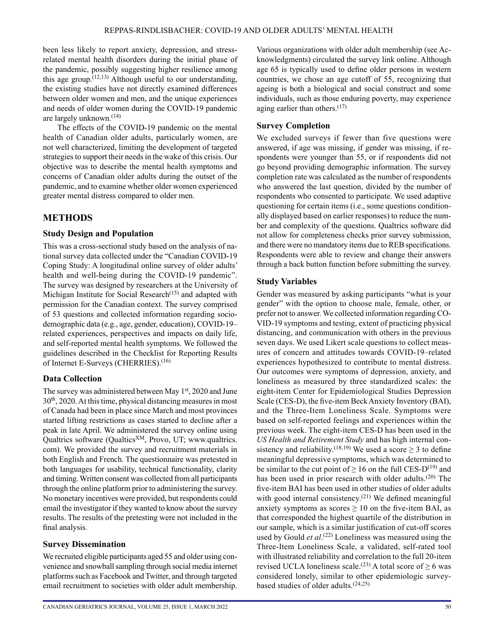been less likely to report anxiety, depression, and stressrelated mental health disorders during the initial phase of the pandemic, possibly suggesting higher resilience among this age group.<sup> $(12,13)$ </sup> Although useful to our understanding, the existing studies have not directly examined differences between older women and men, and the unique experiences and needs of older women during the COVID-19 pandemic are largely unknown.<sup>(14)</sup>

The effects of the COVID-19 pandemic on the mental health of Canadian older adults, particularly women, are not well characterized, limiting the development of targeted strategies to support their needs in the wake of this crisis. Our objective was to describe the mental health symptoms and concerns of Canadian older adults during the outset of the pandemic, and to examine whether older women experienced greater mental distress compared to older men.

## **METHODS**

## **Study Design and Population**

This was a cross-sectional study based on the analysis of national survey data collected under the "Canadian COVID-19 Coping Study: A longitudinal online survey of older adults' health and well-being during the COVID-19 pandemic". The survey was designed by researchers at the University of Michigan Institute for Social Research<sup>(15)</sup> and adapted with permission for the Canadian context. The survey comprised of 53 questions and collected information regarding sociodemographic data (e.g., age, gender, education), COVID-19– related experiences, perspectives and impacts on daily life, and self-reported mental health symptoms. We followed the guidelines described in the Checklist for Reporting Results of Internet E-Surveys (CHERRIES).(16)

## **Data Collection**

The survey was administered between May 1<sup>st</sup>, 2020 and June 30th, 2020. At this time, physical distancing measures in most of Canada had been in place since March and most provinces started lifting restrictions as cases started to decline after a peak in late April. We administered the survey online using Qualtrics software (Qualtics<sup>XM</sup>, Provo, UT; www.qualtrics. com). We provided the survey and recruitment materials in both English and French. The questionnaire was pretested in both languages for usability, technical functionality, clarity and timing. Written consent was collected from all participants through the online platform prior to administering the survey. No monetary incentives were provided, but respondents could email the investigator if they wanted to know about the survey results. The results of the pretesting were not included in the final analysis.

## **Survey Dissemination**

We recruited eligible participants aged 55 and older using convenience and snowball sampling through social media internet platforms such as Facebook and Twitter, and through targeted email recruitment to societies with older adult membership.

Various organizations with older adult membership (see Acknowledgments) circulated the survey link online. Although age 65 is typically used to define older persons in western countries, we chose an age cutoff of 55, recognizing that ageing is both a biological and social construct and some individuals, such as those enduring poverty, may experience aging earlier than others. $(17)$ 

## **Survey Completion**

We excluded surveys if fewer than five questions were answered, if age was missing, if gender was missing, if respondents were younger than 55, or if respondents did not go beyond providing demographic information. The survey completion rate was calculated as the number of respondents who answered the last question, divided by the number of respondents who consented to participate. We used adaptive questioning for certain items (i.e., some questions conditionally displayed based on earlier responses) to reduce the number and complexity of the questions. Qualtrics software did not allow for completeness checks prior survey submission, and there were no mandatory items due to REB specifications. Respondents were able to review and change their answers through a back button function before submitting the survey.

## **Study Variables**

Gender was measured by asking participants "what is your gender" with the option to choose male, female, other, or prefer not to answer. We collected information regarding CO-VID-19 symptoms and testing, extent of practicing physical distancing, and communication with others in the previous seven days. We used Likert scale questions to collect measures of concern and attitudes towards COVID-19–related experiences hypothesized to contribute to mental distress. Our outcomes were symptoms of depression, anxiety, and loneliness as measured by three standardized scales: the eight-item Center for Epidemiological Studies Depression Scale (CES-D), the five-item Beck Anxiety Inventory (BAI), and the Three-Item Loneliness Scale. Symptoms were based on self-reported feelings and experiences within the previous week. The eight-item CES-D has been used in the *US Health and Retirement Study* and has high internal consistency and reliability.<sup>(18,19)</sup> We used a score  $\geq$  3 to define meaningful depressive symptoms, which was determined to be similar to the cut point of  $\geq 16$  on the full CES-D<sup>(19)</sup> and has been used in prior research with older adults.(20) The five-item BAI has been used in other studies of older adults with good internal consistency.<sup> $(21)$ </sup> We defined meaningful anxiety symptoms as scores  $\geq 10$  on the five-item BAI, as that corresponded the highest quartile of the distribution in our sample, which is a similar justification of cut-off scores used by Gould *et al*. (22) Loneliness was measured using the Three-Item Loneliness Scale, a validated, self-rated tool with illustrated reliability and correlation to the full 20-item revised UCLA loneliness scale.<sup>(23)</sup> A total score of  $\geq$  6 was considered lonely, similar to other epidemiologic surveybased studies of older adults.(24,25)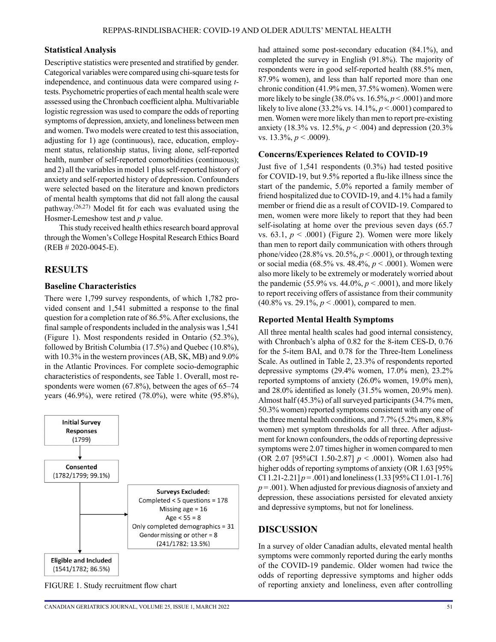#### **Statistical Analysis**

Descriptive statistics were presented and stratified by gender. Categorical variables were compared using chi-square tests for independence, and continuous data were compared using *t*tests. Psychometric properties of each mental health scale were assessed using the Chronbach coefficient alpha. Multivariable logistic regression was used to compare the odds of reporting symptoms of depression, anxiety, and loneliness between men and women. Two models were created to test this association, adjusting for 1) age (continuous), race, education, employment status, relationship status, living alone, self-reported health, number of self-reported comorbidities (continuous); and 2) all the variables in model 1 plus self-reported history of anxiety and self-reported history of depression. Confounders were selected based on the literature and known predictors of mental health symptoms that did not fall along the causal pathway.(26,27) Model fit for each was evaluated using the Hosmer-Lemeshow test and *p* value.

This study received health ethics research board approval through the Women's College Hospital Research Ethics Board (REB # 2020-0045-E).

#### **RESULTS**

#### **Baseline Characteristics**

There were 1,799 survey respondents, of which 1,782 provided consent and 1,541 submitted a response to the final question for a completion rate of 86.5%. After exclusions, the final sample of respondents included in the analysis was 1,541 (Figure 1). Most respondents resided in Ontario (52.3%), followed by British Columbia (17.5%) and Quebec (10.8%), with 10.3% in the western provinces (AB, SK, MB) and 9.0% in the Atlantic Provinces. For complete socio-demographic characteristics of respondents, see Table 1. Overall, most respondents were women (67.8%), between the ages of 65–74 years (46.9%), were retired (78.0%), were white (95.8%),



had attained some post-secondary education (84.1%), and completed the survey in English (91.8%). The majority of respondents were in good self-reported health (88.5% men, 87.9% women), and less than half reported more than one chronic condition (41.9% men, 37.5% women). Women were more likely to be single (38.0% vs. 16.5%, *p* < .0001) and more likely to live alone (33.2% vs.  $14.1\%$ ,  $p < .0001$ ) compared to men. Women were more likely than men to report pre-existing anxiety (18.3% vs. 12.5%, *p* < .004) and depression (20.3% vs. 13.3%, *p* < .0009).

#### **Concerns/Experiences Related to COVID-19**

Just five of 1,541 respondents (0.3%) had tested positive for COVID-19, but 9.5% reported a flu-like illness since the start of the pandemic, 5.0% reported a family member of friend hospitalized due to COVID-19, and 4.1% had a family member or friend die as a result of COVID-19. Compared to men, women were more likely to report that they had been self-isolating at home over the previous seven days (65.7 vs.  $63.1, p \le 0.0001$ ) (Figure 2). Women were more likely than men to report daily communication with others through phone/video (28.8% vs. 20.5%, *p* < .0001), or through texting or social media (68.5% vs. 48.4%, *p* < .0001). Women were also more likely to be extremely or moderately worried about the pandemic (55.9% vs. 44.0%,  $p < .0001$ ), and more likely to report receiving offers of assistance from their community (40.8% vs. 29.1%, *p* < .0001), compared to men.

#### **Reported Mental Health Symptoms**

All three mental health scales had good internal consistency, with Chronbach's alpha of 0.82 for the 8-item CES-D, 0.76 for the 5-item BAI, and 0.78 for the Three-Item Loneliness Scale. As outlined in Table 2, 23.3% of respondents reported depressive symptoms (29.4% women, 17.0% men), 23.2% reported symptoms of anxiety (26.0% women, 19.0% men), and 28.0% identified as lonely (31.5% women, 20.9% men). Almost half (45.3%) of all surveyed participants (34.7% men, 50.3% women) reported symptoms consistent with any one of the three mental health conditions, and 7.7% (5.2% men, 8.8% women) met symptom thresholds for all three. After adjustment for known confounders, the odds of reporting depressive symptoms were 2.07 times higher in women compared to men (OR 2.07 [95%CI 1.50-2.87] *p* < .0001). Women also had higher odds of reporting symptoms of anxiety (OR 1.63 [95%] CI 1.21-2.21]  $p = .001$  and loneliness (1.33 [95% CI 1.01-1.76] *p* = .001). When adjusted for previous diagnosis of anxiety and depression, these associations persisted for elevated anxiety and depressive symptoms, but not for loneliness.

#### **DISCUSSION**

In a survey of older Canadian adults, elevated mental health symptoms were commonly reported during the early months of the COVID-19 pandemic. Older women had twice the odds of reporting depressive symptoms and higher odds FIGURE 1. Study recruitment flow chart of reporting anxiety and loneliness, even after controlling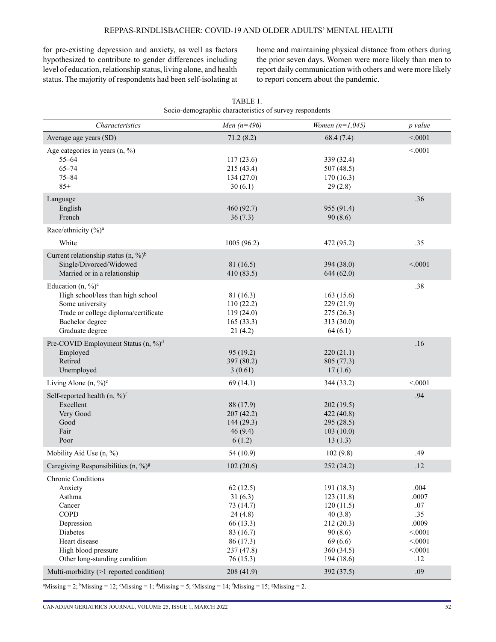for pre-existing depression and anxiety, as well as factors hypothesized to contribute to gender differences including level of education, relationship status, living alone, and health status. The majority of respondents had been self-isolating at home and maintaining physical distance from others during the prior seven days. Women were more likely than men to report daily communication with others and were more likely to report concern about the pandemic.

| Characteristics                                                                                                                                                     | Men $(n=496)$                                                                                               | Women $(n=1,045)$                                                                                             | p value                                                                     |
|---------------------------------------------------------------------------------------------------------------------------------------------------------------------|-------------------------------------------------------------------------------------------------------------|---------------------------------------------------------------------------------------------------------------|-----------------------------------------------------------------------------|
| Average age years (SD)                                                                                                                                              | 71.2(8.2)                                                                                                   | 68.4(7.4)                                                                                                     | < 0.001                                                                     |
| Age categories in years $(n, %)$<br>$55 - 64$<br>$65 - 74$<br>$75 - 84$<br>$85+$                                                                                    | 117(23.6)<br>215 (43.4)<br>134(27.0)<br>30(6.1)                                                             | 339 (32.4)<br>507(48.5)<br>170(16.3)<br>29(2.8)                                                               | < 0001                                                                      |
| Language<br>English<br>French                                                                                                                                       | 460 (92.7)<br>36(7.3)                                                                                       | 955 (91.4)<br>90(8.6)                                                                                         | .36                                                                         |
| Race/ethnicity (%) <sup>a</sup>                                                                                                                                     |                                                                                                             |                                                                                                               |                                                                             |
| White                                                                                                                                                               | 1005(96.2)                                                                                                  | 472 (95.2)                                                                                                    | .35                                                                         |
| Current relationship status $(n, \frac{9}{6})^b$<br>Single/Divorced/Widowed<br>Married or in a relationship                                                         | 81 (16.5)<br>410 (83.5)                                                                                     | 394 (38.0)<br>644(62.0)                                                                                       | < 0001                                                                      |
| Education $(n, %)^c$<br>High school/less than high school<br>Some university<br>Trade or college diploma/certificate<br>Bachelor degree<br>Graduate degree          | 81(16.3)<br>110(22.2)<br>119(24.0)<br>165(33.3)<br>21(4.2)                                                  | 163(15.6)<br>229 (21.9)<br>275(26.3)<br>313(30.0)<br>64(6.1)                                                  | .38                                                                         |
| Pre-COVID Employment Status (n, %) <sup>d</sup><br>Employed<br>Retired<br>Unemployed                                                                                | 95 (19.2)<br>397 (80.2)<br>3(0.61)                                                                          | 220(21.1)<br>805 (77.3)<br>17(1.6)                                                                            | .16                                                                         |
| Living Alone $(n, \frac{9}{6})^e$                                                                                                                                   | 69(14.1)                                                                                                    | 344 (33.2)                                                                                                    | < 0001                                                                      |
| Self-reported health $(n, %)$ <sup>f</sup><br>Excellent<br>Very Good<br>Good<br>Fair<br>Poor                                                                        | 88 (17.9)<br>207(42.2)<br>144(29.3)<br>46(9.4)<br>6(1.2)                                                    | 202(19.5)<br>422 (40.8)<br>295 (28.5)<br>103(10.0)<br>13(1.3)                                                 | .94                                                                         |
| Mobility Aid Use (n, %)                                                                                                                                             | 54 (10.9)                                                                                                   | 102(9.8)                                                                                                      | .49                                                                         |
| Caregiving Responsibilities $(n, \frac{9}{9})^g$                                                                                                                    | 102(20.6)                                                                                                   | 252(24.2)                                                                                                     | .12                                                                         |
| Chronic Conditions<br>Anxiety<br>Asthma<br>Cancer<br><b>COPD</b><br>Depression<br>Diabetes<br>Heart disease<br>High blood pressure<br>Other long-standing condition | 62(12.5)<br>31(6.3)<br>73 (14.7)<br>24(4.8)<br>66(13.3)<br>83 (16.7)<br>86 (17.3)<br>237(47.8)<br>76 (15.3) | 191 (18.3)<br>123(11.8)<br>120(11.5)<br>40(3.8)<br>212(20.3)<br>90(8.6)<br>69(6.6)<br>360 (34.5)<br>194(18.6) | .004<br>.0007<br>.07<br>.35<br>.0009<br>< 0.001<br>< 0001<br>< 0.001<br>.12 |
| Multi-morbidity (>1 reported condition)                                                                                                                             | 208 (41.9)                                                                                                  | 392 (37.5)                                                                                                    | .09                                                                         |

| TABLE 1.                                                |
|---------------------------------------------------------|
| Socio-demographic characteristics of survey respondents |

 $\text{A}$ <sup>a</sup>Missing = 2;  $\text{b}$ Missing = 12;  $\text{c}$ Missing = 1;  $\text{d}$ Missing = 5;  $\text{c}$ Missing = 14;  $\text{f}$ Missing = 15;  $\text{g}$ Missing = 2.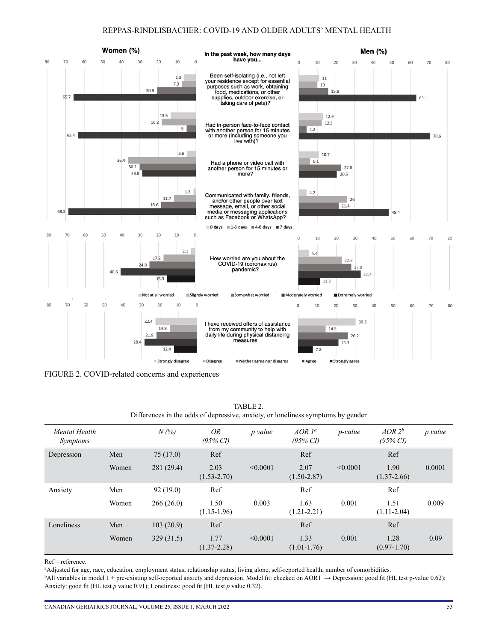#### REPPAS-RINDLISBACHER: COVID-19 AND OLDER ADULTS' MENTAL HEALTH



FIGURE 2. COVID-related concerns and experiences

| Mental Health<br><i>Symptoms</i> |       | $N(\% )$   | <i>OR</i><br>$(95\% \, \text{CI})$ | p value  | $AOR$ $l^a$<br>$(95\% \, \text{CI})$ | <i>p</i> -value | $AOR2^b$<br>$(95\% \, CI)$ | p value |
|----------------------------------|-------|------------|------------------------------------|----------|--------------------------------------|-----------------|----------------------------|---------|
| Depression                       | Men   | 75(17.0)   | Ref                                |          | Ref                                  |                 | Ref                        |         |
|                                  | Women | 281 (29.4) | 2.03<br>$(1.53 - 2.70)$            | < 0.0001 | 2.07<br>$(1.50 - 2.87)$              | < 0.0001        | 1.90<br>$(1.37 - 2.66)$    | 0.0001  |
| Anxiety                          | Men   | 92(19.0)   | Ref                                |          | Ref                                  |                 | Ref                        |         |
|                                  | Women | 266(26.0)  | 1.50<br>$(1.15-1.96)$              | 0.003    | 1.63<br>$(1.21 - 2.21)$              | 0.001           | 1.51<br>$(1.11-2.04)$      | 0.009   |
| Loneliness                       | Men   | 103(20.9)  | Ref                                |          | Ref                                  |                 | Ref                        |         |
|                                  | Women | 329(31.5)  | 1.77<br>$(1.37 - 2.28)$            | < 0.0001 | 1.33<br>$(1.01-1.76)$                | 0.001           | 1.28<br>$(0.97 - 1.70)$    | 0.09    |

TABLE 2. Differences in the odds of depressive, anxiety, or loneliness symptoms by gender

Ref = reference.

a Adjusted for age, race, education, employment status, relationship status, living alone, self-reported health, number of comorbidities.

 $b$ All variables in model 1 + pre-existing self-reported anxiety and depression. Model fit: checked on AOR1  $\rightarrow$  Depression: good fit (HL test p-value 0.62); Anxiety: good fit (HL test *p* value 0.91); Loneliness: good fit (HL test *p* value 0.32).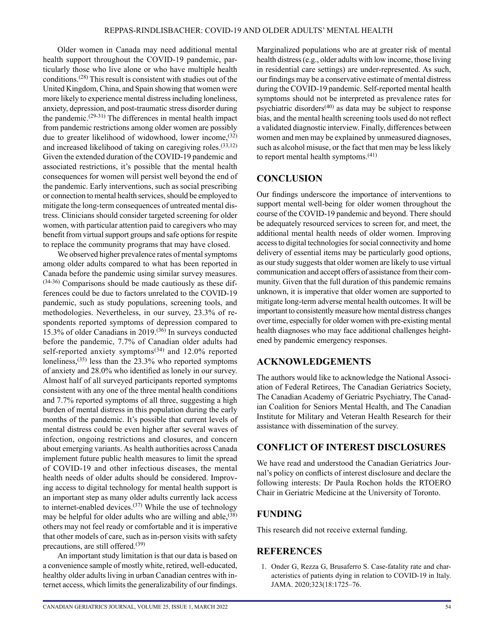Older women in Canada may need additional mental health support throughout the COVID-19 pandemic, particularly those who live alone or who have multiple health conditions.(28) This result is consistent with studies out of the United Kingdom, China, and Spain showing that women were more likely to experience mental distress including loneliness, anxiety, depression, and post-traumatic stress disorder during the pandemic.<sup> $(29-31)$ </sup> The differences in mental health impact from pandemic restrictions among older women are possibly due to greater likelihood of widowhood, lower income,<sup>(32)</sup> and increased likelihood of taking on caregiving roles.<sup>(33,12)</sup> Given the extended duration of the COVID-19 pandemic and associated restrictions, it's possible that the mental health consequences for women will persist well beyond the end of the pandemic. Early interventions, such as social prescribing or connection to mental health services, should be employed to mitigate the long-term consequences of untreated mental distress. Clinicians should consider targeted screening for older women, with particular attention paid to caregivers who may benefit from virtual support groups and safe options for respite to replace the community programs that may have closed.

We observed higher prevalence rates of mental symptoms among older adults compared to what has been reported in Canada before the pandemic using similar survey measures.  $(34-36)$  Comparisons should be made cautiously as these differences could be due to factors unrelated to the COVID-19 pandemic, such as study populations, screening tools, and methodologies. Nevertheless, in our survey, 23.3% of respondents reported symptoms of depression compared to 15.3% of older Canadians in 2019.(36) In surveys conducted before the pandemic, 7.7% of Canadian older adults had self-reported anxiety symptoms<sup> $(34)$ </sup> and 12.0% reported loneliness,(35) less than the 23.3% who reported symptoms of anxiety and 28.0% who identified as lonely in our survey. Almost half of all surveyed participants reported symptoms consistent with any one of the three mental health conditions and 7.7% reported symptoms of all three, suggesting a high burden of mental distress in this population during the early months of the pandemic. It's possible that current levels of mental distress could be even higher after several waves of infection, ongoing restrictions and closures, and concern about emerging variants. As health authorities across Canada implement future public health measures to limit the spread of COVID-19 and other infectious diseases, the mental health needs of older adults should be considered. Improving access to digital technology for mental health support is an important step as many older adults currently lack access to internet-enabled devices.<sup>(37)</sup> While the use of technology may be helpful for older adults who are willing and able,  $(38)$ others may not feel ready or comfortable and it is imperative that other models of care, such as in-person visits with safety precautions, are still offered.<sup>(39)</sup>

An important study limitation is that our data is based on a convenience sample of mostly white, retired, well-educated, healthy older adults living in urban Canadian centres with internet access, which limits the generalizability of our findings.

CANADIAN GERIATRICS JOURNAL, VOLUME 25, ISSUE 1, MARCH 2022 54

Marginalized populations who are at greater risk of mental health distress (e.g., older adults with low income, those living in residential care settings) are under-represented. As such, our findings may be a conservative estimate of mental distress during the COVID-19 pandemic. Self-reported mental health symptoms should not be interpreted as prevalence rates for psychiatric disorders $(40)$  as data may be subject to response bias, and the mental health screening tools used do not reflect a validated diagnostic interview. Finally, differences between women and men may be explained by unmeasured diagnoses, such as alcohol misuse, or the fact that men may be less likely to report mental health symptoms.(41)

## **CONCLUSION**

Our findings underscore the importance of interventions to support mental well-being for older women throughout the course of the COVID-19 pandemic and beyond. There should be adequately resourced services to screen for, and meet, the additional mental health needs of older women. Improving access to digital technologies for social connectivity and home delivery of essential items may be particularly good options, as our study suggests that older women are likely to use virtual communication and accept offers of assistance from their community. Given that the full duration of this pandemic remains unknown, it is imperative that older women are supported to mitigate long-term adverse mental health outcomes. It will be important to consistently measure how mental distress changes over time, especially for older women with pre-existing mental health diagnoses who may face additional challenges heightened by pandemic emergency responses.

## **ACKNOWLEDGEMENTS**

The authors would like to acknowledge the National Association of Federal Retirees, The Canadian Geriatrics Society, The Canadian Academy of Geriatric Psychiatry, The Canadian Coalition for Seniors Mental Health, and The Canadian Institute for Military and Veteran Health Research for their assistance with dissemination of the survey.

## **CONFLICT OF INTEREST DISCLOSURES**

We have read and understood the Canadian Geriatrics Journal's policy on conflicts of interest disclosure and declare the following interests: Dr Paula Rochon holds the RTOERO Chair in Geriatric Medicine at the University of Toronto.

## **FUNDING**

This research did not receive external funding.

## **REFERENCES**

1. Onder G, Rezza G, Brusaferro S. Case-fatality rate and characteristics of patients dying in relation to COVID-19 in Italy. JAMA. 2020;323(18:1725–76.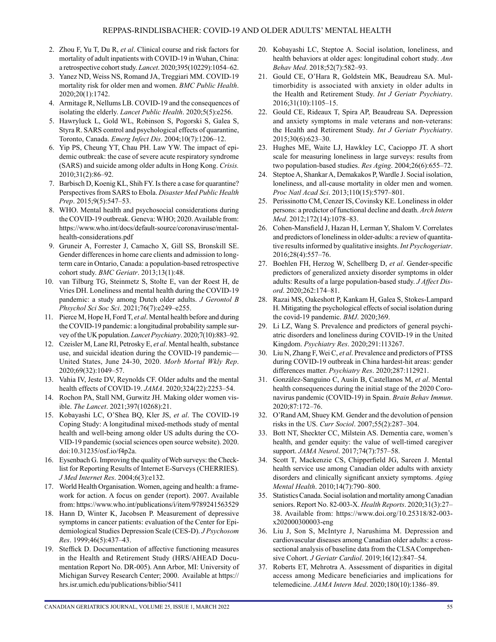- 2. Zhou F, Yu T, Du R, *et al*. Clinical course and risk factors for mortality of adult inpatients with COVID-19 in Wuhan, China: a retrospective cohort study. *Lancet*. 2020;395(10229):1054–62.
- 3. Yanez ND, Weiss NS, Romand JA, Treggiari MM. COVID-19 mortality risk for older men and women. *BMC Public Health*. 2020;20(1):1742.
- 4. Armitage R, Nellums LB. COVID-19 and the consequences of isolating the elderly. *Lancet Public Health*. 2020;5(5):e256.
- 5. Hawryluck L, Gold WL, Robinson S, Pogorski S, Galea S, Styra R. SARS control and psychological effects of quarantine, Toronto, Canada. *Emerg Infect Dis*. 2004;10(7):1206–12.
- 6. Yip PS, Cheung YT, Chau PH. Law YW. The impact of epidemic outbreak: the case of severe acute respiratory syndrome (SARS) and suicide among older adults in Hong Kong. *Crisis.* 2010;31(2):86–92.
- 7. Barbisch D, Koenig KL, Shih FY. Is there a case for quarantine? Perspectives from SARS to Ebola. *Disaster Med Public Health Prep*. 2015;9(5):547–53.
- 8. WHO. Mental health and psychosocial considerations during the COVID-19 outbreak. Geneva: WHO; 2020. Available from: [https://www.who.int/docs/default-source/coronaviruse/mental](https://www.who.int/docs/default-source/coronaviruse/mental-health-considerations.pdf)[health-considerations.pdf](https://www.who.int/docs/default-source/coronaviruse/mental-health-considerations.pdf)
- 9. Gruneir A, Forrester J, Camacho X, Gill SS, Bronskill SE. Gender differences in home care clients and admission to longterm care in Ontario, Canada: a population-based retrospective cohort study. *BMC Geriatr*. 2013;13(1):48.
- 10. van Tilburg TG, Steinmetz S, Stolte E, van der Roest H, de Vries DH. Loneliness and mental health during the COVID-19 pandemic: a study among Dutch older adults. *J Gerontol B Phsychol Sci Soc Sci*. 2021;76(7):e249–e255.
- 11. Pierce M, Hope H, Ford T, *et al*. Mental health before and during the COVID-19 pandemic: a longitudinal probability sample survey of the UK population. *Lancet Psychiatry*. 2020;7(10):883–92.
- 12. Czeisler M, Lane RI, Petrosky E, *et al*. Mental health, substance use, and suicidal ideation during the COVID-19 pandemic— United States, June 24-30, 2020. *Morb Mortal Wkly Rep*. 2020;69(32):1049–57.
- 13. Vahia IV, Jeste DV, Reynolds CF. Older adults and the mental health effects of COVID-19. *JAMA*. 2020;324(22):2253–54.
- 14. Rochon PA, Stall NM, Gurwitz JH. Making older women visible. *The Lancet*. 2021;397(10268):21.
- 15. Kobayashi LC, O'Shea BQ, Kler JS, *et al*. The COVID-19 Coping Study: A longitudinal mixed-methods study of mental health and well-being among older US adults during the CO-VID-19 pandemic (social sciences open source website). 2020. doi:10.31235/osf.io/f4p2a.
- 16. Eysenbach G. Improving the quality of Web surveys: the Checklist for Reporting Results of Internet E-Surveys (CHERRIES). *J Med Internet Res*. 2004;6(3):e132.
- 17. World Health Organisation. Women, ageing and health: a framework for action. A focus on gender (report). 2007. Available from: <https://www.who.int/publications/i/item/9789241563529>
- 18. Hann D, Winter K, Jacobsen P. Measurement of depressive symptoms in cancer patients: evaluation of the Center for Epidemiological Studies Depression Scale (CES-D). *J Psychosom Res*. 1999;46(5):437–43.
- 19. Steffick D. Documentation of affective functioning measures in the Health and Retirement Study (HRS/AHEAD Documentation Report No. DR-005). Ann Arbor, MI: University of Michigan Survey Research Center; 2000. Available at [https://](https://hrs.isr.umich.edu/publications/biblio/5411) [hrs.isr.umich.edu/publications/biblio/5411](https://hrs.isr.umich.edu/publications/biblio/5411)
- 20. Kobayashi LC, Steptoe A. Social isolation, loneliness, and health behaviors at older ages: longitudinal cohort study. *Ann Behav Med*. 2018;52(7):582–93.
- 21. Gould CE, O'Hara R, Goldstein MK, Beaudreau SA. Multimorbidity is associated with anxiety in older adults in the Health and Retirement Study. *Int J Geriatr Psychiatry*. 2016;31(10):1105–15.
- 22. Gould CE, Rideaux T, Spira AP, Beaudreau SA. Depression and anxiety symptoms in male veterans and non-veterans: the Health and Retirement Study. *Int J Geriatr Psychiatry*. 2015;30(6):623–30.
- 23. Hughes ME, Waite LJ, Hawkley LC, Cacioppo JT. A short scale for measuring loneliness in large surveys: results from two population-based studies. *Res Aging*. 2004;26(6):655–72.
- 24. Steptoe A, Shankar A, Demakakos P, Wardle J. Social isolation, loneliness, and all-cause mortality in older men and women. *Proc Natl Acad Sci*. 2013;110(15):5797–801.
- 25. Perissinotto CM, Cenzer IS, Covinsky KE. Loneliness in older persons: a predictor of functional decline and death. *Arch Intern Med*. 2012;172(14):1078–83.
- 26. Cohen-Mansfield J, Hazan H, Lerman Y, Shalom V. Correlates and predictors of loneliness in older-adults: a review of quantitative results informed by qualitative insights. *Int Psychogeriatr*. 2016;28(4):557–76.
- 27. Boehlen FH, Herzog W, Schellberg D, *et al*. Gender-specific predictors of generalized anxiety disorder symptoms in older adults: Results of a large population-based study. *J Affect Disord*. 2020;262:174–81.
- 28. Razai MS, Oakeshott P, Kankam H, Galea S, Stokes-Lampard H. Mitigating the psychological effects of social isolation during the covid-19 pandemic. *BMJ*. 2020;369.
- 29. Li LZ, Wang S. Prevalence and predictors of general psychiatric disorders and loneliness during COVID-19 in the United Kingdom. *Psychiatry Res*. 2020;291:113267.
- 30. Liu N, Zhang F, Wei C, *et al*. Prevalence and predictors of PTSS during COVID-19 outbreak in China hardest-hit areas: gender differences matter. *Psychiatry Res*. 2020;287:112921.
- 31. González-Sanguino C, Ausín B, Castellanos M, *et al*. Mental health consequences during the initial stage of the 2020 Coronavirus pandemic (COVID-19) in Spain. *Brain Behav Immun*. 2020;87:172–76.
- 32. O'Rand AM, Shuey KM. Gender and the devolution of pension risks in the US. *Curr Sociol*. 2007;55(2):287–304.
- 33. Bott NT, Sheckter CC, Milstein AS. Dementia care, women's health, and gender equity: the value of well-timed caregiver support. *JAMA Neurol*. 2017;74(7):757–58.
- 34. Scott T, Mackenzie CS, Chipperfield JG, Sareen J. Mental health service use among Canadian older adults with anxiety disorders and clinically significant anxiety symptoms. *Aging Mental Health*. 2010;14(7):790–800.
- 35. Statistics Canada. Social isolation and mortality among Canadian seniors. Report No. 82-003-X. *Health Reports*. 2020;31(3):27– 38. Available from: [https://www.doi.org/10.25318/82-003](https://www.doi.org/10.25318/82-003-x202000300003-eng) [x202000300003-eng](https://www.doi.org/10.25318/82-003-x202000300003-eng)
- 36. Liu J, Son S, McIntyre J, Narushima M. Depression and cardiovascular diseases among Canadian older adults: a crosssectional analysis of baseline data from the CLSA Comprehensive Cohort. *J Geriatr Cardiol*. 2019;16(12):847–54.
- 37. Roberts ET, Mehrotra A. Assessment of disparities in digital access among Medicare beneficiaries and implications for telemedicine. *JAMA Intern Med*. 2020;180(10):1386–89.